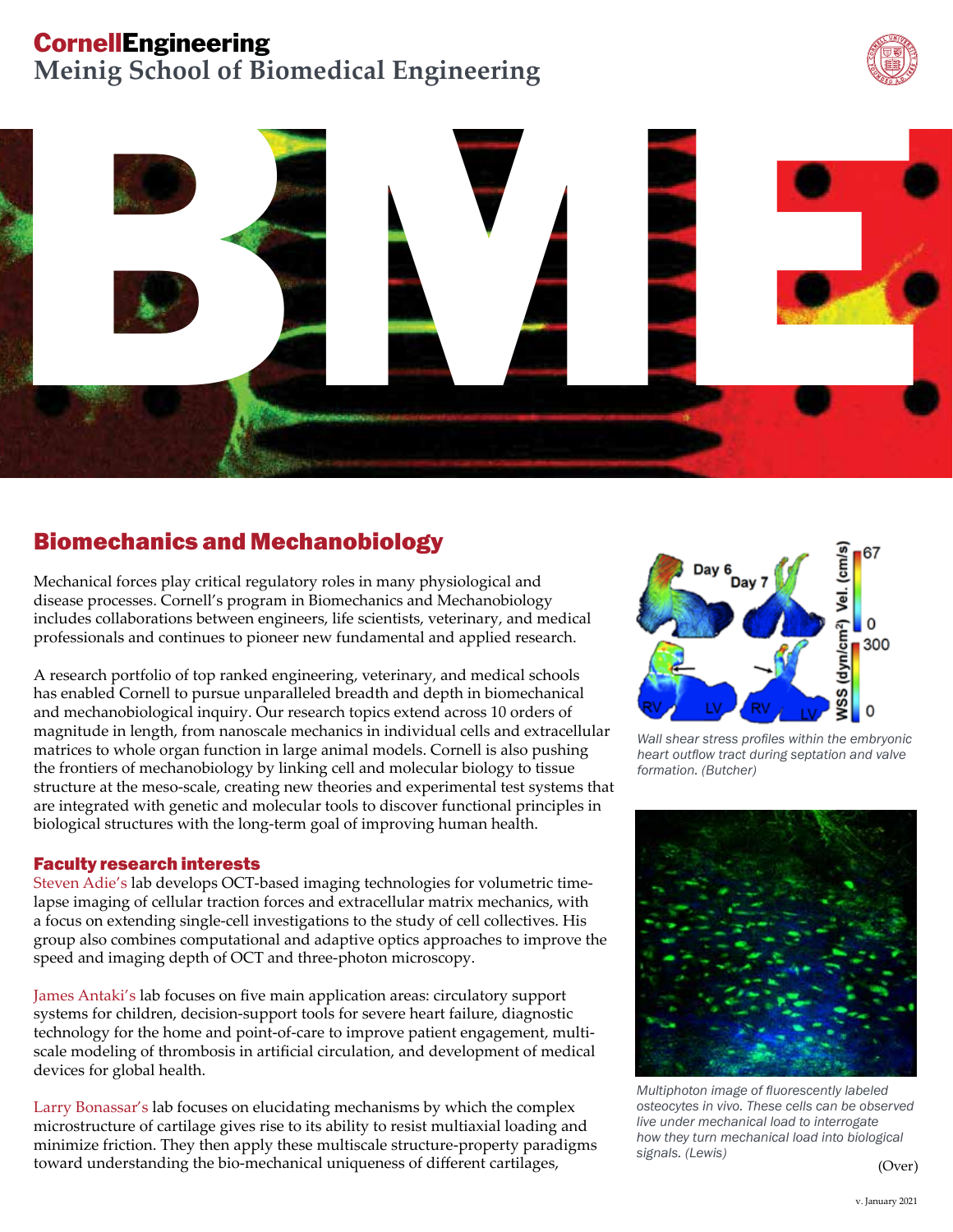# **CornellEngineering**

**Meinig School of Biomedical Engineering**





## Biomechanics and Mechanobiology

Mechanical forces play critical regulatory roles in many physiological and disease processes. Cornell's program in Biomechanics and Mechanobiology includes collaborations between engineers, life scientists, veterinary, and medical professionals and continues to pioneer new fundamental and applied research.

A research portfolio of top ranked engineering, veterinary, and medical schools has enabled Cornell to pursue unparalleled breadth and depth in biomechanical and mechanobiological inquiry. Our research topics extend across 10 orders of magnitude in length, from nanoscale mechanics in individual cells and extracellular matrices to whole organ function in large animal models. Cornell is also pushing the frontiers of mechanobiology by linking cell and molecular biology to tissue structure at the meso-scale, creating new theories and experimental test systems that are integrated with genetic and molecular tools to discover functional principles in biological structures with the long-term goal of improving human health.

### Faculty research interests

Steven Adie's lab develops OCT-based imaging technologies for volumetric timelapse imaging of cellular traction forces and extracellular matrix mechanics, with a focus on extending single-cell investigations to the study of cell collectives. His group also combines computational and adaptive optics approaches to improve the speed and imaging depth of OCT and three-photon microscopy.

James Antaki's lab focuses on five main application areas: circulatory support systems for children, decision-support tools for severe heart failure, diagnostic technology for the home and point-of-care to improve patient engagement, multiscale modeling of thrombosis in artificial circulation, and development of medical devices for global health.

Larry Bonassar's lab focuses on elucidating mechanisms by which the complex microstructure of cartilage gives rise to its ability to resist multiaxial loading and minimize friction. They then apply these multiscale structure-property paradigms toward understanding the bio-mechanical uniqueness of different cartilages,



*Wall shear stress profiles within the embryonic heart outflow tract during septation and valve formation. (Butcher)*



*Multiphoton image of fluorescently labeled osteocytes in vivo. These cells can be observed live under mechanical load to interrogate how they turn mechanical load into biological signals. (Lewis)*

(Over)